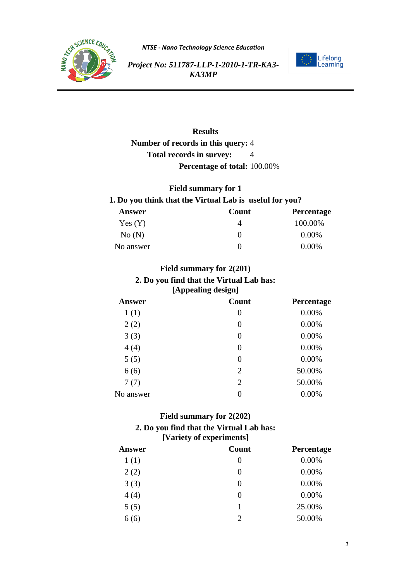



*Project No: 511787-LLP-1-2010-1-TR-KA3- KA3MP*

# **Results Number of records in this query:** 4 **Total records in survey:** 4 **Percentage of total:** 100.00%

### **Field summary for 1 1. Do you think that the Virtual Lab is useful for you?**

| <b>Answer</b> | Count | Percentage |
|---------------|-------|------------|
| Yes(Y)        |       | 100.00%    |
| No(N)         |       | 0.00%      |
| No answer     |       | 0.00%      |

# **Field summary for 2(201) 2. Do you find that the Virtual Lab has: [Appealing design]**

| <b>Answer</b> | Count          | Percentage |
|---------------|----------------|------------|
| 1(1)          | 0              | 0.00%      |
| 2(2)          | $\overline{0}$ | 0.00%      |
| 3(3)          | $\overline{0}$ | 0.00%      |
| 4(4)          | $\overline{0}$ | 0.00%      |
| 5(5)          | $\overline{0}$ | 0.00%      |
| 6(6)          | $\overline{2}$ | 50.00%     |
| 7(7)          | $\overline{2}$ | 50.00%     |
| No answer     | 0              | 0.00%      |
|               |                |            |

## **Field summary for 2(202) 2. Do you find that the Virtual Lab has: [Variety of experiments]**

| <b>Answer</b> | Count    | Percentage |
|---------------|----------|------------|
| 1(1)          | $\theta$ | 0.00%      |
| 2(2)          | 0        | 0.00%      |
| 3(3)          | 0        | 0.00%      |
| 4(4)          | 0        | 0.00%      |
| 5(5)          |          | 25.00%     |
| 6(6)          | 2        | 50.00%     |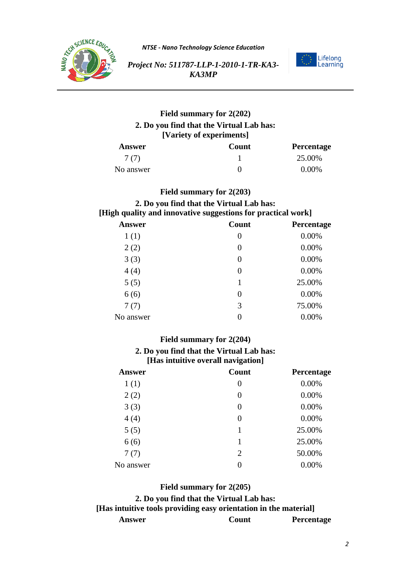



*Project No: 511787-LLP-1-2010-1-TR-KA3- KA3MP*

# **Field summary for 2(202) 2. Do you find that the Virtual Lab has: [Variety of experiments]**

| Answer    | Count | Percentage |
|-----------|-------|------------|
| 7 (7)     |       | 25.00%     |
| No answer |       | $0.00\%$   |

### **Field summary for 2(203)**

# **2. Do you find that the Virtual Lab has: [High quality and innovative suggestions for practical work]**

| <b>Answer</b> | Count | Percentage |
|---------------|-------|------------|
| 1(1)          | 0     | 0.00%      |
| 2(2)          | 0     | 0.00%      |
| 3(3)          | 0     | 0.00%      |
| 4(4)          | 0     | 0.00%      |
| 5(5)          |       | 25.00%     |
| 6(6)          | 0     | 0.00%      |
| 7(7)          | 3     | 75.00%     |
| No answer     | 0     | 0.00%      |

### **Field summary for 2(204)**

# **2. Do you find that the Virtual Lab has: [Has intuitive overall navigation]**

| <b>Answer</b> | Count          | Percentage |
|---------------|----------------|------------|
| 1(1)          | 0              | 0.00%      |
| 2(2)          | $\overline{0}$ | 0.00%      |
| 3(3)          | $\overline{0}$ | 0.00%      |
| 4(4)          | $\overline{0}$ | 0.00%      |
| 5(5)          | 1              | 25.00%     |
| 6(6)          | 1              | 25.00%     |
| 7(7)          | $\overline{2}$ | 50.00%     |
| No answer     | 0              | 0.00%      |

### **Field summary for 2(205)**

# **2. Do you find that the Virtual Lab has: [Has intuitive tools providing easy orientation in the material]**

**Answer Count Percentage**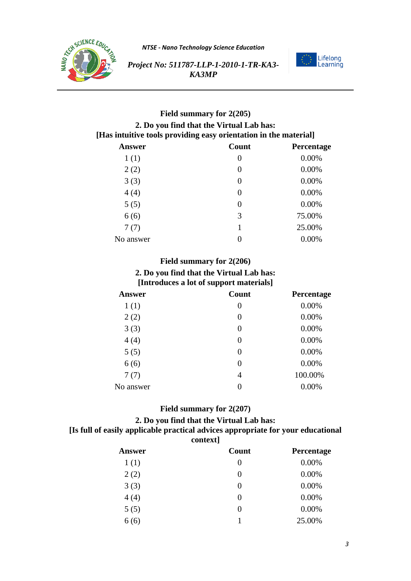



*Project No: 511787-LLP-1-2010-1-TR-KA3- KA3MP*

# **Field summary for 2(205) 2. Do you find that the Virtual Lab has: [Has intuitive tools providing easy orientation in the material] Answer Count Percentage**

|           |                | $\bullet$ |
|-----------|----------------|-----------|
| 1(1)      | 0              | 0.00%     |
| 2(2)      | 0              | 0.00%     |
| 3(3)      | $\overline{0}$ | 0.00%     |
| 4(4)      | 0              | 0.00%     |
| 5(5)      | 0              | 0.00%     |
| 6(6)      | 3              | 75.00%    |
| 7(7)      | 1              | 25.00%    |
| No answer | 0              | 0.00%     |
|           |                |           |

### **Field summary for 2(206)**

# **2. Do you find that the Virtual Lab has: [Introduces a lot of support materials]**

| <b>Answer</b> | Count          | Percentage |
|---------------|----------------|------------|
| 1(1)          | 0              | 0.00%      |
| 2(2)          | $\theta$       | 0.00%      |
| 3(3)          | $\Omega$       | 0.00%      |
| 4(4)          | $\overline{0}$ | 0.00%      |
| 5(5)          | $\Omega$       | 0.00%      |
| 6(6)          | 0              | 0.00%      |
| 7(7)          | 4              | 100.00%    |
| No answer     | 0              | 0.00%      |
|               |                |            |

# **Field summary for 2(207)**

### **2. Do you find that the Virtual Lab has:**

### **[Is full of easily applicable practical advices appropriate for your educational context]**

| Answer | Count  | Percentage |
|--------|--------|------------|
| 1(1)   | 0      | 0.00%      |
| 2(2)   | $_{0}$ | 0.00%      |
| 3(3)   | $_{0}$ | 0.00%      |
| 4(4)   | 0      | 0.00%      |
| 5(5)   | $_{0}$ | 0.00%      |
| 6(6)   |        | 25.00%     |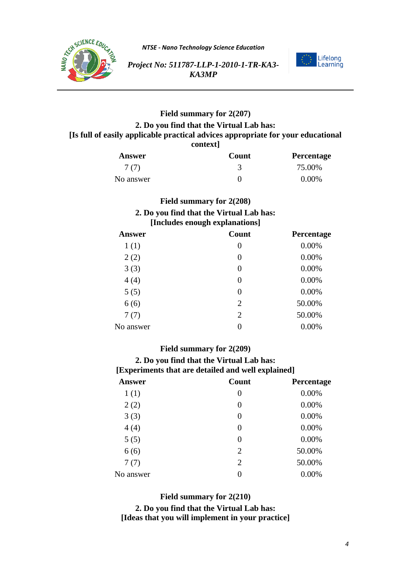



*Project No: 511787-LLP-1-2010-1-TR-KA3- KA3MP*

# **Field summary for 2(207) 2. Do you find that the Virtual Lab has: [Is full of easily applicable practical advices appropriate for your educational context]**

| Answer    | <b>Count</b> | <b>Percentage</b> |
|-----------|--------------|-------------------|
| 7(7)      |              | 75.00%            |
| No answer |              | $0.00\%$          |

# **Field summary for 2(208)**

#### **2. Do you find that the Virtual Lab has: [Includes enough explanations]**

| <b>Answer</b> | Count          | Percentage |
|---------------|----------------|------------|
| 1(1)          | $\overline{0}$ | 0.00%      |
| 2(2)          | $\overline{0}$ | 0.00%      |
| 3(3)          | $\overline{0}$ | 0.00%      |
| 4(4)          | $\overline{0}$ | 0.00%      |
| 5(5)          | $\Omega$       | 0.00%      |
| 6(6)          | $\overline{2}$ | 50.00%     |
| 7(7)          | $\overline{2}$ | 50.00%     |
| No answer     |                | 0.00%      |
|               |                |            |

# **Field summary for 2(209)**

#### **2. Do you find that the Virtual Lab has: [Experiments that are detailed and well explained]**

| <b>Answer</b> | Count          | Percentage |
|---------------|----------------|------------|
| 1(1)          | 0              | 0.00%      |
| 2(2)          | $\overline{0}$ | 0.00%      |
| 3(3)          | $\overline{0}$ | 0.00%      |
| 4(4)          | $\overline{0}$ | 0.00%      |
| 5(5)          | $\overline{0}$ | 0.00%      |
| 6(6)          | $\overline{2}$ | 50.00%     |
| 7(7)          | $\overline{2}$ | 50.00%     |
| No answer     | $\overline{0}$ | 0.00%      |
|               |                |            |

### **Field summary for 2(210)**

**2. Do you find that the Virtual Lab has: [Ideas that you will implement in your practice]**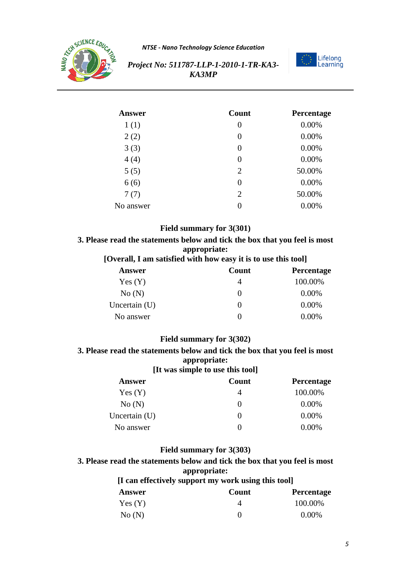



*Project No: 511787-LLP-1-2010-1-TR-KA3- KA3MP*

| <b>Answer</b> | Count          | Percentage |
|---------------|----------------|------------|
| 1(1)          | 0              | 0.00%      |
| 2(2)          | 0              | 0.00%      |
| 3(3)          | 0              | 0.00%      |
| 4(4)          | 0              | 0.00%      |
| 5(5)          | $\overline{2}$ | 50.00%     |
| 6(6)          | $\overline{0}$ | 0.00%      |
| 7(7)          | $\overline{2}$ | 50.00%     |
| No answer     | 0              | 0.00%      |

### **Field summary for 3(301)**

# **3. Please read the statements below and tick the box that you feel is most appropriate:**

### **[Overall, I am satisfied with how easy it is to use this tool]**

| Answer        | Count        | <b>Percentage</b> |
|---------------|--------------|-------------------|
| Yes(Y)        | 4            | 100.00%           |
| No(N)         | $\theta$     | $0.00\%$          |
| Uncertain (U) | $\mathbf{0}$ | 0.00%             |
| No answer     | 0            | $0.00\%$          |

### **Field summary for 3(302)**

#### **3. Please read the statements below and tick the box that you feel is most appropriate: [It was simple to use this tool]**

| <b>ITE was simple to use this toon</b> |       |            |  |
|----------------------------------------|-------|------------|--|
| Answer                                 | Count | Percentage |  |
| Yes(Y)                                 |       | 100.00%    |  |
| No(N)                                  |       | $0.00\%$   |  |
| Uncertain (U)                          | 0     | 0.00%      |  |
| No answer                              |       | 0.00%      |  |

### **Field summary for 3(303)**

**3. Please read the statements below and tick the box that you feel is most appropriate:**

| [I can effectively support my work using this tool] |       |                   |
|-----------------------------------------------------|-------|-------------------|
| Answer                                              | Count | <b>Percentage</b> |
| Yes(Y)                                              |       | 100.00%           |
| No(N)                                               |       | $0.00\%$          |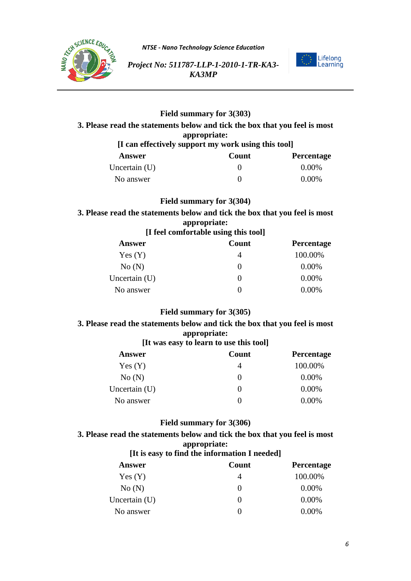



*Project No: 511787-LLP-1-2010-1-TR-KA3- KA3MP*

# **Field summary for 3(303) 3. Please read the statements below and tick the box that you feel is most appropriate: [I can effectively support my work using this tool] Answer Count Percentage** Uncertain (U)  $0.00\%$ No answer  $0$  0.00%

# **Field summary for 3(304)**

**3. Please read the statements below and tick the box that you feel is most appropriate:**

| [I feel comfortable using this tool] |  |
|--------------------------------------|--|
|--------------------------------------|--|

| Answer          | Count    | <b>Percentage</b> |
|-----------------|----------|-------------------|
| Yes(Y)          | 4        | 100.00%           |
| No(N)           | $\theta$ | $0.00\%$          |
| Uncertain $(U)$ | $\theta$ | 0.00%             |
| No answer       | $\theta$ | $0.00\%$          |

### **Field summary for 3(305)**

# **3. Please read the statements below and tick the box that you feel is most appropriate:**

### **[It was easy to learn to use this tool]**

| Answer          | Count             | <b>Percentage</b> |
|-----------------|-------------------|-------------------|
| Yes(Y)          | 4                 | 100.00%           |
| No(N)           | $\theta$          | $0.00\%$          |
| Uncertain $(U)$ | $\theta$          | $0.00\%$          |
| No answer       | $\mathbf{\Omega}$ | $0.00\%$          |

### **Field summary for 3(306)**

# **3. Please read the statements below and tick the box that you feel is most appropriate:**

### **[It is easy to find the information I needed]**

| <b>Answer</b>   | Count             | Percentage |
|-----------------|-------------------|------------|
| Yes(Y)          | 4                 | 100.00%    |
| No(N)           | $\mathbf{\Omega}$ | 0.00%      |
| Uncertain $(U)$ | $_{0}$            | 0.00%      |
| No answer       | $^{(1)}$          | $0.00\%$   |